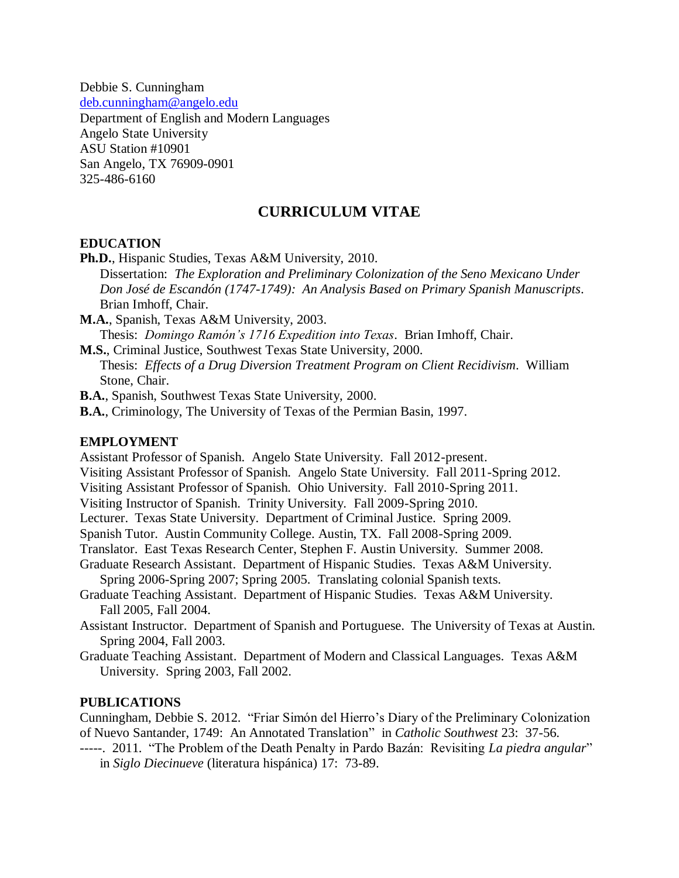Debbie S. Cunningham [deb.cunningham@angelo.edu](mailto:deb.cunningham@angelo.edu) Department of English and Modern Languages Angelo State University ASU Station #10901 San Angelo, TX 76909-0901 325-486-6160

### **CURRICULUM VITAE**

#### **EDUCATION**

**Ph.D.**, Hispanic Studies, Texas A&M University, 2010.

Dissertation: *The Exploration and Preliminary Colonization of the Seno Mexicano Under Don José de Escandón (1747-1749): An Analysis Based on Primary Spanish Manuscripts*. Brian Imhoff, Chair.

**M.A.**, Spanish, Texas A&M University, 2003.

Thesis: *Domingo Ramón's 1716 Expedition into Texas*. Brian Imhoff, Chair.

**M.S.**, Criminal Justice, Southwest Texas State University, 2000.

Thesis: *Effects of a Drug Diversion Treatment Program on Client Recidivism*. William Stone, Chair.

**B.A.**, Spanish, Southwest Texas State University, 2000.

**B.A.**, Criminology, The University of Texas of the Permian Basin, 1997.

#### **EMPLOYMENT**

Assistant Professor of Spanish. Angelo State University. Fall 2012-present.

Visiting Assistant Professor of Spanish. Angelo State University. Fall 2011-Spring 2012.

Visiting Assistant Professor of Spanish. Ohio University. Fall 2010-Spring 2011. Visiting Instructor of Spanish. Trinity University. Fall 2009-Spring 2010.

Lecturer. Texas State University. Department of Criminal Justice. Spring 2009.

Spanish Tutor. Austin Community College. Austin, TX. Fall 2008-Spring 2009.

Translator. East Texas Research Center, Stephen F. Austin University. Summer 2008.

Graduate Research Assistant. Department of Hispanic Studies. Texas A&M University.

Spring 2006-Spring 2007; Spring 2005. Translating colonial Spanish texts.

Graduate Teaching Assistant. Department of Hispanic Studies. Texas A&M University. Fall 2005, Fall 2004.

Assistant Instructor. Department of Spanish and Portuguese. The University of Texas at Austin. Spring 2004, Fall 2003.

Graduate Teaching Assistant. Department of Modern and Classical Languages. Texas A&M University. Spring 2003, Fall 2002.

### **PUBLICATIONS**

Cunningham, Debbie S. 2012. "Friar Simón del Hierro's Diary of the Preliminary Colonization of Nuevo Santander, 1749: An Annotated Translation" in *Catholic Southwest* 23: 37-56.

-----. 2011. "The Problem of the Death Penalty in Pardo Bazán: Revisiting *La piedra angular*" in *Siglo Diecinueve* (literatura hispánica) 17: 73-89.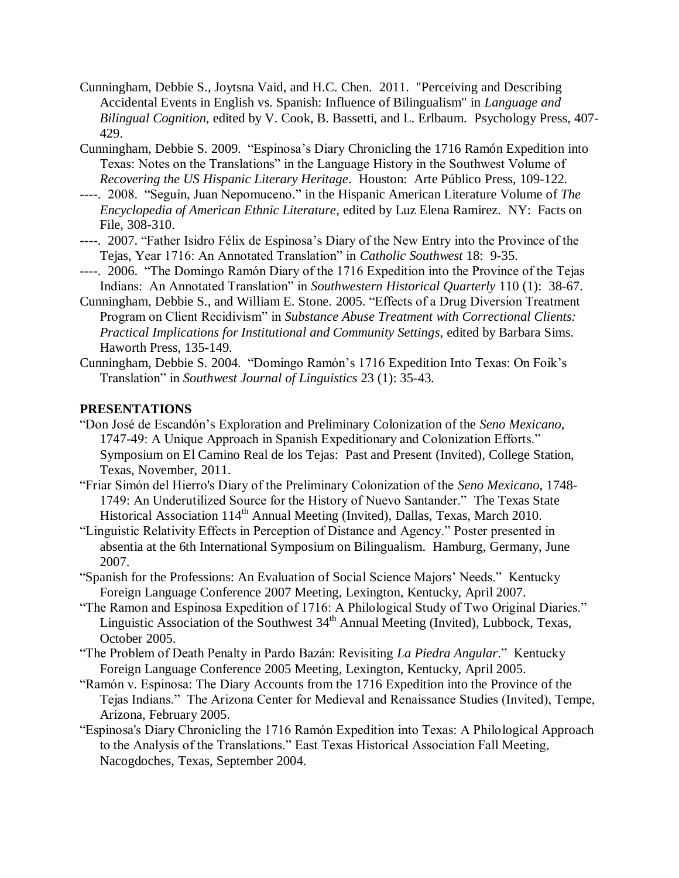- Cunningham, Debbie S., Joytsna Vaid, and H.C. Chen. 2011. "Perceiving and Describing Accidental Events in English vs. Spanish: Influence of Bilingualism" in *Language and Bilingual Cognition,* edited by V. Cook, B. Bassetti, and L. Erlbaum. Psychology Press, 407- 429.
- Cunningham, Debbie S. 2009. "Espinosa's Diary Chronicling the 1716 Ramón Expedition into Texas: Notes on the Translations" in the Language History in the Southwest Volume of *Recovering the US Hispanic Literary Heritage*. Houston: Arte Público Press, 109-122.
- ----. 2008. "Seguín, Juan Nepomuceno." in the Hispanic American Literature Volume of *The Encyclopedia of American Ethnic Literature*, edited by Luz Elena Ramirez. NY: Facts on File, 308-310.
- ----. 2007. "Father Isidro Félix de Espinosa's Diary of the New Entry into the Province of the Tejas, Year 1716: An Annotated Translation" in *Catholic Southwest* 18: 9-35.
- ----. 2006. "The Domingo Ramón Diary of the 1716 Expedition into the Province of the Tejas Indians: An Annotated Translation" in *Southwestern Historical Quarterly* 110 (1): 38-67.
- Cunningham, Debbie S., and William E. Stone. 2005. "Effects of a Drug Diversion Treatment Program on Client Recidivism" in *Substance Abuse Treatment with Correctional Clients: Practical Implications for Institutional and Community Settings*, edited by Barbara Sims. Haworth Press, 135-149.
- Cunningham, Debbie S. 2004. "Domingo Ramón's 1716 Expedition Into Texas: On Foik's Translation" in *Southwest Journal of Linguistics* 23 (1): 35-43.

### **PRESENTATIONS**

- "Don José de Escandón's Exploration and Preliminary Colonization of the *Seno Mexicano*, 1747-49: A Unique Approach in Spanish Expeditionary and Colonization Efforts." Symposium on El Camino Real de los Tejas: Past and Present (Invited), College Station, Texas, November, 2011.
- "Friar Simón del Hierro's Diary of the Preliminary Colonization of the *Seno Mexicano*, 1748- 1749: An Underutilized Source for the History of Nuevo Santander." The Texas State Historical Association 114<sup>th</sup> Annual Meeting (Invited), Dallas, Texas, March 2010.
- "Linguistic Relativity Effects in Perception of Distance and Agency." Poster presented in absentia at the 6th International Symposium on Bilingualism. Hamburg, Germany, June 2007.
- "Spanish for the Professions: An Evaluation of Social Science Majors' Needs." Kentucky Foreign Language Conference 2007 Meeting, Lexington, Kentucky, April 2007.
- "The Ramon and Espinosa Expedition of 1716: A Philological Study of Two Original Diaries." Linguistic Association of the Southwest  $34<sup>th</sup>$  Annual Meeting (Invited), Lubbock, Texas, October 2005.
- "The Problem of Death Penalty in Pardo Bazán: Revisiting *La Piedra Angular*." Kentucky Foreign Language Conference 2005 Meeting, Lexington, Kentucky, April 2005.
- "Ramón v. Espinosa: The Diary Accounts from the 1716 Expedition into the Province of the Tejas Indians." The Arizona Center for Medieval and Renaissance Studies (Invited), Tempe, Arizona, February 2005.
- "Espinosa's Diary Chronicling the 1716 Ramón Expedition into Texas: A Philological Approach to the Analysis of the Translations." East Texas Historical Association Fall Meeting, Nacogdoches, Texas, September 2004.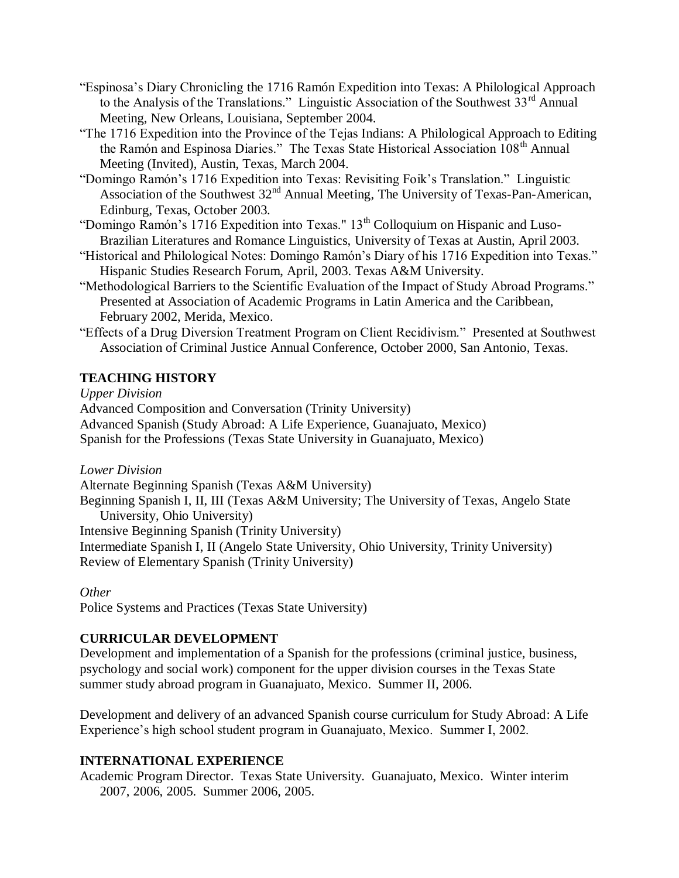- "Espinosa's Diary Chronicling the 1716 Ramón Expedition into Texas: A Philological Approach to the Analysis of the Translations." Linguistic Association of the Southwest  $33<sup>rd</sup>$  Annual Meeting, New Orleans, Louisiana, September 2004.
- "The 1716 Expedition into the Province of the Tejas Indians: A Philological Approach to Editing the Ramón and Espinosa Diaries." The Texas State Historical Association 108<sup>th</sup> Annual Meeting (Invited), Austin, Texas, March 2004.
- "Domingo Ramón's 1716 Expedition into Texas: Revisiting Foik's Translation." Linguistic Association of the Southwest 32<sup>nd</sup> Annual Meeting, The University of Texas-Pan-American, Edinburg, Texas, October 2003.
- "Domingo Ramón's 1716 Expedition into Texas." 13<sup>th</sup> Colloquium on Hispanic and Luso-Brazilian Literatures and Romance Linguistics, University of Texas at Austin, April 2003.
- "Historical and Philological Notes: Domingo Ramón's Diary of his 1716 Expedition into Texas." Hispanic Studies Research Forum, April, 2003. Texas A&M University.
- "Methodological Barriers to the Scientific Evaluation of the Impact of Study Abroad Programs." Presented at Association of Academic Programs in Latin America and the Caribbean, February 2002, Merida, Mexico.
- "Effects of a Drug Diversion Treatment Program on Client Recidivism." Presented at Southwest Association of Criminal Justice Annual Conference, October 2000, San Antonio, Texas.

# **TEACHING HISTORY**

*Upper Division*

Advanced Composition and Conversation (Trinity University) Advanced Spanish (Study Abroad: A Life Experience, Guanajuato, Mexico) Spanish for the Professions (Texas State University in Guanajuato, Mexico)

*Lower Division*

Alternate Beginning Spanish (Texas A&M University)

Beginning Spanish I, II, III (Texas A&M University; The University of Texas, Angelo State University, Ohio University)

Intensive Beginning Spanish (Trinity University)

Intermediate Spanish I, II (Angelo State University, Ohio University, Trinity University) Review of Elementary Spanish (Trinity University)

*Other* Police Systems and Practices (Texas State University)

# **CURRICULAR DEVELOPMENT**

Development and implementation of a Spanish for the professions (criminal justice, business, psychology and social work) component for the upper division courses in the Texas State summer study abroad program in Guanajuato, Mexico. Summer II, 2006.

Development and delivery of an advanced Spanish course curriculum for Study Abroad: A Life Experience's high school student program in Guanajuato, Mexico. Summer I, 2002.

# **INTERNATIONAL EXPERIENCE**

Academic Program Director. Texas State University. Guanajuato, Mexico. Winter interim 2007, 2006, 2005. Summer 2006, 2005.